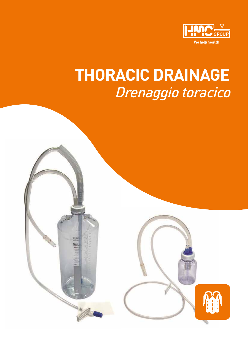

# **THORACIC DRAINAGE**  Drenaggio toracico

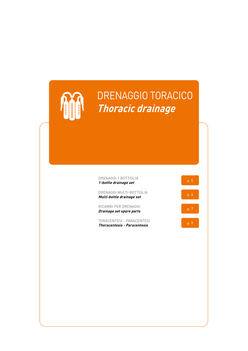

## DRENAGGIO TORACICO **Thoracic drainage**

| 1-bottle drainage set | p.5 |
|-----------------------|-----|
| DRENAGGI 1 BOTTIGLIA  |     |

DRENAGGI MULTI-BOTTIGLIA **Multi-bottle drainage set** p. 6

RICAMBI PER DRENAGGI RILAMBI PER DRENAGGI<br>**Drainage set spare parts** p. 7

TORACENTESI - PARACENTESI THORALENTESI - PARALENTESI<br>**Thoracentesis - Paracentesis** p. 9

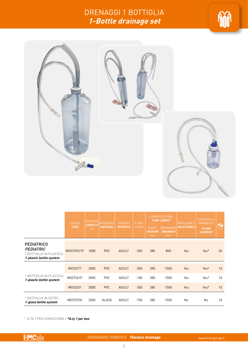### DRENAGGI 1 BOTTIGLIA **1-Bottle drainage set**





|                                                                                             | <b>CODICE</b> | <b>CAPACITÀ</b>       | <b>MATERIALE</b> | <b>PAZIENTI</b> | P. MAX | LUNGHEZZA TUBO<br><b>TUBE LENGHT</b> |                                           | <b>REGOLABILE</b>        | <b>SUPPORTO A</b><br><b>PAVIMENTO</b> |    |
|---------------------------------------------------------------------------------------------|---------------|-----------------------|------------------|-----------------|--------|--------------------------------------|-------------------------------------------|--------------------------|---------------------------------------|----|
|                                                                                             | <b>CODE</b>   | <b>CAPACITY</b><br>ml | <b>MATERIAL</b>  | <b>PATIENTS</b> | mmHG   | <b>VUOTO</b><br><b>VACUUM</b><br>mm  | <b>DRENAGGIO</b><br><b>DRAINAGE</b><br>mm | <i><b>ADJUSTABLE</b></i> | <b>FLOOR</b><br><b>SUPPORT</b>        | O  |
| <b>PEDIATRICO</b><br><b>PEDIATRIC</b><br>1 BOTTIGLIA IN PLASTICA<br>1-plastic bottle system | M037295/1P    | 1000                  | <b>PVC</b>       | <b>ADULT</b>    | $-350$ | 385                                  | 800                                       | Yes                      | Yes*                                  | 20 |
|                                                                                             | M033371       | 2000                  | <b>PVC</b>       | <b>ADULT</b>    | $-350$ | 385                                  | 1500                                      | Yes                      | Yes*                                  | 10 |
| 1 BOTTIGLIA IN PLASTICA<br>1-plastic bottle system                                          | M037261P      | 3000                  | <b>PVC</b>       | <b>ADULT</b>    | $-100$ | 385                                  | 1500                                      | Yes                      | Yes*                                  | 10 |
|                                                                                             | M033201       | 3000                  | <b>PVC</b>       | <b>ADULT</b>    | $-350$ | 385                                  | 1500                                      | Yes                      | Yes*                                  | 10 |
| 1 BOTTIGLIA IN VETRO<br>1-glass bottle system                                               | M037293V      | 2000                  | GLASS            | <b>ADULT</b>    | $-750$ | 385                                  | 1500                                      | No                       | No                                    | 10 |

\* Q.TÀ 1 PER CONFEZIONE / **\*Q.ty 1 per box**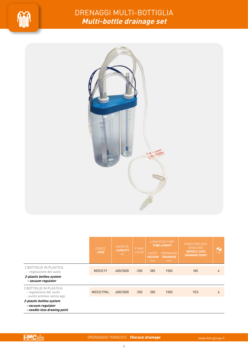

### DRENAGGI MULTI-BOTTIGLIA **Multi-bottle drainage set**



|                                                                                                      | <b>CODICE</b><br><b>CODE</b> | <b>CAPACITÀ</b><br><b>CAPACITY</b><br>ml | P. MAX<br>mmHG | <b>VUOTO</b><br><b>VACUUM</b><br>mm | LUNGHEZZA TUBO<br><b>TUBE LENGHT</b><br><b>DRENAGGIO</b><br><b>DRAINAGE</b><br>mm | <b>PUNTO PRELIEVO</b><br><b>SENZA AGO</b><br><b>NEEDLE-LESS</b><br><b>DRAWING POINT</b> |   |
|------------------------------------------------------------------------------------------------------|------------------------------|------------------------------------------|----------------|-------------------------------------|-----------------------------------------------------------------------------------|-----------------------------------------------------------------------------------------|---|
| 2 BOTTIGLIE IN PLASTICA<br>- regolazione del vuoto<br>2-plastic bottles system<br>- vacuum regulator | M033219                      | 600/3000                                 | $-350$         | 385                                 | 1500                                                                              | N <sub>0</sub>                                                                          | 6 |
|                                                                                                      |                              |                                          |                |                                     |                                                                                   |                                                                                         |   |
| 2 BOTTIGLIE IN PLASTICA<br>- regolazione del vuoto<br>- punto prelievo senza ago                     | M033219NL                    | 600/3000                                 | $-350$         | 385                                 | 1500                                                                              | <b>YES</b>                                                                              | 6 |
| 2-plastic bottles system<br>- vacuum regulator<br>- needle-less drawing point                        |                              |                                          |                |                                     |                                                                                   |                                                                                         |   |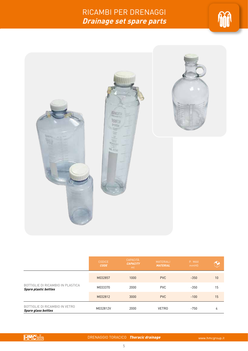### RICAMBI PER DRENAGGI **Drainage set spare parts**





|                                                                   | <b>CODICE</b><br><b>CODE</b> | <b>CAPACITÀ</b><br><b>CAPACITY</b><br>ml | <b>MATERIALI</b><br><b>MATERIAL</b> | P. MAX<br>mmHG |    |
|-------------------------------------------------------------------|------------------------------|------------------------------------------|-------------------------------------|----------------|----|
|                                                                   | M032857                      | 1000                                     | <b>PVC</b>                          | $-350$         | 10 |
| BOTTIGLIE DI RICAMBIO IN PLASTICA<br><b>Spare plastic bottles</b> | M033370                      | 2000                                     | <b>PVC</b>                          | $-350$         | 15 |
|                                                                   | M032812                      | 3000                                     | <b>PVC</b>                          | $-100$         | 15 |
| BOTTIGLIE DI RICAMBIO IN VETRO<br><b>Spare glass bottles</b>      | M032812V                     | 2000                                     | <b>VETRO</b>                        | $-750$         | 4  |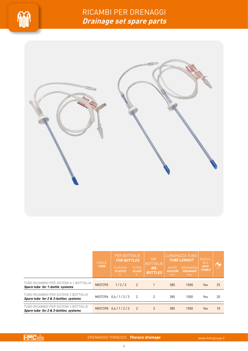



|                                                                               | <b>CODICE</b><br><b>CODE</b> | <b>PER BOTTIGLIE</b><br><b>FOR BOTTLES</b><br><b>PLASTICA</b><br><b>PLASTIC</b><br>lt. | <b>VETRO</b><br><b>GLASS</b><br>lt. | NR.<br><b>BOTTIGLIE</b><br>NR.<br><b>BOTTLES</b> | <b>VUOTO</b><br><b>VACUUM</b><br>mm | LUNGHEZZA TUBO<br><b>TUBE LENGHT</b><br><b>DRENAGGIO</b><br><b>DRAINAGE</b><br>mm | REGOLA-<br><b>BILE</b><br>ADJU-<br><b>STABLE</b> |    |
|-------------------------------------------------------------------------------|------------------------------|----------------------------------------------------------------------------------------|-------------------------------------|--------------------------------------------------|-------------------------------------|-----------------------------------------------------------------------------------|--------------------------------------------------|----|
| TUBO RICAMBIO PER SISTEMI A 1 BOTTIGLIA<br>Spare tube for 1-bottle systems    | M037295                      | 1/2/3                                                                                  | 2                                   |                                                  | 385                                 | 1500                                                                              | <b>Yes</b>                                       | 25 |
| TUBO RICAMBIO PER SISTEMI 2 BOTTIGLIE<br>Spare tube for 2 & 3-bottles systems |                              | M037296 0.6/1/2/3                                                                      | $\overline{2}$                      | $\overline{2}$                                   | 385                                 | 1500                                                                              | Yes                                              | 20 |
| TUBO RICAMBIO PER SISTEMI 3 BOTTIGLIE<br>Spare tube for 2 & 3-bottles systems |                              | M037298 0.6/1/2/3                                                                      | 2                                   | 3                                                | 385                                 | 1500                                                                              | Yes                                              | 10 |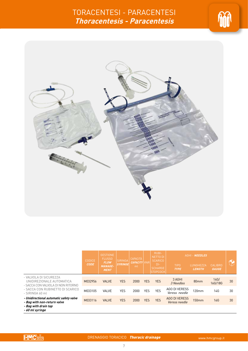



|                                                                                                                                                  |                              | <b>GESTIONE</b><br><b>FLUSSO</b><br><b>SIRINGA</b><br><b>FLOW</b><br><b>SYRINGE</b><br><b>MANAGE-</b><br><b>MENT</b> |                       | CAPACITÀ |                                                                | <b>RUBI-</b><br><b>NETTO DI</b> | AGHI - NEEDLES                    |                                |                 |    |
|--------------------------------------------------------------------------------------------------------------------------------------------------|------------------------------|----------------------------------------------------------------------------------------------------------------------|-----------------------|----------|----------------------------------------------------------------|---------------------------------|-----------------------------------|--------------------------------|-----------------|----|
|                                                                                                                                                  | <b>CODICE</b><br><b>CODE</b> |                                                                                                                      | <b>CAPACITY</b><br>ml | TVNR.    | <b>SCARICO</b><br>$DI -$<br><b>SCHARGE</b><br><b>ISTOPCOCK</b> | <b>TIPO</b><br><b>TYPE</b>      | <b>LUNGHEZZA</b><br><b>LENGTH</b> | <b>CALIBRO</b><br><b>GAUGE</b> | $\bigcirc$      |    |
| - VALVOLA DI SICUREZZA<br>UNIDIREZIONALE AUTOMATICA<br>- SACCA CON VALVOLA DI NON RITORNO<br>- SACCA CON RUBINETTO DI SCARICO<br>- SIRINGA 60 ml | M032956                      | <b>VALVE</b>                                                                                                         | <b>YES</b>            | 2000     | <b>YES</b>                                                     | <b>YES</b>                      | 3 AGHI<br>3 Needles               | 80 <sub>mm</sub>               | 14G/<br>16G/18G | 30 |
|                                                                                                                                                  | M033105                      | <b>VALVE</b>                                                                                                         | <b>YES</b>            | 2000     | <b>YES</b>                                                     | <b>YES</b>                      | AGO DI VERESS<br>Veress needle    | 120mm                          | 14G             | 30 |
| - Unidirectional automatic safety valve<br>- Bag with non-return valve<br>- Bag with drain tap<br>- 60 ml syringe                                | M033116                      | <b>VALVE</b>                                                                                                         | <b>YES</b>            | 2000     | <b>YES</b>                                                     | <b>YES</b>                      | AGO DI VERESS<br>Veress needle    | <b>150mm</b>                   | 16G             | 30 |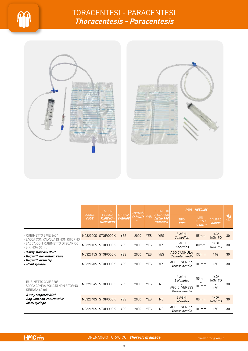



|                                                                                                                                                                             |                       | <b>GESTIONE</b>                                     |                           | <b>CAPACITÀ</b>           |            | <b>RUBINETTO</b>                                         | AGHI - NEEDLES                                               |                                        |                                      |    |
|-----------------------------------------------------------------------------------------------------------------------------------------------------------------------------|-----------------------|-----------------------------------------------------|---------------------------|---------------------------|------------|----------------------------------------------------------|--------------------------------------------------------------|----------------------------------------|--------------------------------------|----|
|                                                                                                                                                                             | CODICE<br><b>CODE</b> | <b>FLUSSO</b><br><b>FLOW MA-</b><br><b>NAGEMENT</b> | SIRINGA<br><b>SYRINGE</b> | <b>CAPACITY</b> VNR<br>ml |            | <b>DI SCARICO</b><br><b>DISCHARGE</b><br><b>STOPCOCK</b> | <b>TIPO</b><br><b>TYPE</b>                                   | LUN-<br><b>GHEZZA</b><br><b>LENGTH</b> | <b>CALIBRO</b><br><b>GAUGE</b>       | M  |
| - RUBINETTO 3 VIE 360°<br>- SACCA CON VALVOLA DI NON RITORNO<br>- SACCA CON RUBINETTO DI SCARICO<br>- SIRINGA 60 ml<br>- 3-way stopcock 360°<br>- Bag with non-return valve |                       | M032000S STOPCOCK                                   | <b>YES</b>                | 2000                      | <b>YES</b> | <b>YES</b>                                               | 3 AGHI<br>3 needles                                          | 55mm                                   | 14G/<br>16G/19G                      | 30 |
|                                                                                                                                                                             |                       | M032010S STOPCOCK                                   | <b>YES</b>                | 2000                      | <b>YES</b> | <b>YES</b>                                               | 3 AGHI<br>3 needles                                          | 80mm                                   | 14G/<br>16G/19G                      | 30 |
|                                                                                                                                                                             |                       | M032015S STOPCOCK                                   | <b>YES</b>                | 2000                      | <b>YES</b> | <b>YES</b>                                               | AGO CANNULA<br>Cannula needle                                | 133mm                                  | <b>14G</b>                           | 30 |
| - Bag with drain tap<br>- 60 ml syringe                                                                                                                                     |                       | M032020S STOPCOCK                                   | <b>YES</b>                | 2000                      | <b>YES</b> | <b>YES</b>                                               | AGO DI VERESS<br>Veress needle                               | 100mm                                  | <b>15G</b>                           | 30 |
| - RUBINETTO 3 VIE $360^\circ$<br>- SACCA CON VALVOLA DI NON RITORNO<br>- SIRINGA 60 ml                                                                                      | M032034S              | <b>STOPCOCK</b>                                     | <b>YES</b>                | 2000                      | <b>YES</b> | N <sub>0</sub>                                           | 3 AGHI<br>3 Needles<br><b>AGO DI VERESS</b><br>Veress needle | 55mm<br>$\ddot{}$<br>100 <sub>mm</sub> | 14G/<br>16G/19G<br>$+$<br><b>15G</b> | 30 |
| - 3-way stopcock 360°<br>- Bag with non-return valve<br>- 60 ml syringe                                                                                                     |                       | M032040S STOPCOCK                                   | <b>YES</b>                | 2000                      | <b>YES</b> | N <sub>0</sub>                                           | 3 AGHI<br>3 Needles                                          | 80mm                                   | 14G/<br>16G/19G                      | 30 |
|                                                                                                                                                                             |                       | M032050S STOPCOCK                                   | <b>YES</b>                | 2000                      | <b>YES</b> | N <sub>0</sub>                                           | AGO DI VERESS<br><i>Veress needle</i>                        | 100mm                                  | <b>15G</b>                           | 30 |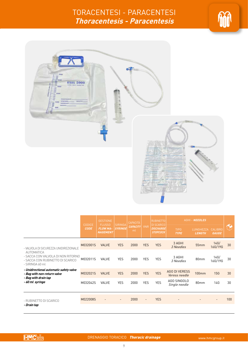



|                                                                                                                                                         | CODICE      | <b>GESTIONE</b>                                     | <b>SIRINGA</b> | <b>CAPACITÀ</b><br><b>CAPACITY</b><br>ml | <b>VNR</b>     | <b>RUBINETTO</b>                                         | AGHI - NEEDLES                               |                            |                         |     |
|---------------------------------------------------------------------------------------------------------------------------------------------------------|-------------|-----------------------------------------------------|----------------|------------------------------------------|----------------|----------------------------------------------------------|----------------------------------------------|----------------------------|-------------------------|-----|
|                                                                                                                                                         | <b>CODE</b> | <b>FLUSSO</b><br><b>FLOW MA-</b><br><b>NAGEMENT</b> | <b>SYRINGE</b> |                                          |                | <b>DI SCARICO</b><br><b>DISCHARGE</b><br><b>STOPCOCK</b> | <b>TIPO</b><br><b>TYPE</b>                   | LUNGHEZZA<br><b>LENGTH</b> | CALIBRO<br><b>GAUGE</b> | 12  |
| - VALVOLA DI SICUREZZA UNIDIREZIONALE<br><b>AUTOMATICA</b><br>- SACCA CON VALVOLA DI NON RITORNO<br>- SACCA CON RUBINETTO DI SCARICO<br>- SIRINGA 60 ml | M032001S    | <b>VALVE</b>                                        | <b>YES</b>     | 2000                                     | <b>YES</b>     | <b>YES</b>                                               | 3 AGHI<br>3 Needles                          | 55mm                       | 14G/<br>16G/19G         | 30  |
|                                                                                                                                                         | M032011S    | VALVE                                               | <b>YES</b>     | 2000                                     | <b>YES</b>     | <b>YES</b>                                               | 3 AGHI<br>3 Needles                          | 80mm                       | 14G/<br>16G/19G         | 30  |
| - Unidirectional automatic safety valve<br>- Bag with non-return valve                                                                                  | M032021S    | <b>VALVE</b>                                        | <b>YES</b>     | 2000                                     | <b>YES</b>     | <b>YES</b>                                               | <b>AGO DI VERESS</b><br><i>Veress needle</i> | 100mm                      | 15G                     | 30  |
| - Bag with drain tap<br>-60 ml syringe                                                                                                                  | M032042S    | <b>VALVE</b>                                        | <b>YES</b>     | 2000                                     | <b>YES</b>     | <b>YES</b>                                               | AGO SINGOLO<br>Single needle                 | 80 <sub>mm</sub>           | 14G                     | 30  |
| - RUBINETTO DI SCARICO<br>- Drain tap                                                                                                                   | M022008S    |                                                     | $\overline{a}$ | 2000                                     | $\overline{a}$ | <b>YES</b>                                               |                                              |                            | $\overline{a}$          | 100 |
|                                                                                                                                                         |             |                                                     |                |                                          |                |                                                          |                                              |                            |                         |     |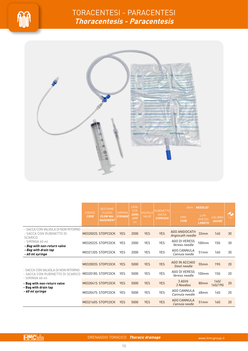



|                                                                                                                                                                               |                       | <b>GESTIONE</b>                                     |                           | CAPA-<br><b>CITÀ</b>       |              | VALVOLA RUBINETTO               |                                      | AGHI - NEEDLES                         |                                |    |
|-------------------------------------------------------------------------------------------------------------------------------------------------------------------------------|-----------------------|-----------------------------------------------------|---------------------------|----------------------------|--------------|---------------------------------|--------------------------------------|----------------------------------------|--------------------------------|----|
|                                                                                                                                                                               | CODICE<br><b>CODE</b> | <b>FLUSSO</b><br><b>FLOW MA-</b><br><b>NAGEMENT</b> | SIRINGA<br><b>SYRINGE</b> | CAPA-<br><b>CITY</b><br>ml | <b>VALVE</b> | <b>SACCA</b><br><b>STOPCOCK</b> | <b>TIPO</b><br><b>TYPE</b>           | LUN-<br><b>GHEZZA</b><br><b>LENGTH</b> | <b>CALIBRO</b><br><b>GAUGE</b> | H  |
| - SACCA CON VALVOLA DI NON RITORNO<br>- SACCA CON RUBINETTO DI<br><b>SCARICO</b><br>- SIRINGA 60 ml<br>- Bag with non-return valve<br>- Bag with drain tap<br>- 60 ml syringe |                       | M032002S STOPCOCK                                   | <b>YES</b>                | 2000                       | <b>YES</b>   | <b>YES</b>                      | AGO ANGIOCATH<br>Angiocath needle    | 33mm                                   | <b>14G</b>                     | 30 |
|                                                                                                                                                                               |                       | M032022S STOPCOCK                                   | <b>YES</b>                | 2000                       | <b>YES</b>   | <b>YES</b>                      | AGO DI VERESS<br>Veress needle       | 100mm                                  | 15G                            | 30 |
|                                                                                                                                                                               |                       | M032120S STOPCOCK                                   | <b>YES</b>                | 2000                       | <b>YES</b>   | <b>YES</b>                      | AGO CANNULA<br>Cannula needle        | 51mm                                   | 16G                            | 30 |
|                                                                                                                                                                               |                       | M032003S STOPCOCK                                   | <b>YES</b>                | 5000                       | <b>YES</b>   | <b>YES</b>                      | AGO IN ACCIAIO<br>Steel needle       | 55mm                                   | <b>19G</b>                     | 20 |
| - SACCA CON VALVOLA DI NON RITORNO<br>- SACCA CON RUBINETTO DI SCARICO                                                                                                        |                       | M032018S STOPCOCK                                   | <b>YES</b>                | 5000                       | <b>YES</b>   | <b>YES</b>                      | AGO DI VERESS<br>Veress needle       | 100 <sub>mm</sub>                      | <b>15G</b>                     | 20 |
| - SIRINGA 60 ml<br>- Bag with non-return valve<br>- Bag with drain tap<br>- 60 ml syringe                                                                                     |                       | M032041S STOPCOCK                                   | <b>YES</b>                | 5000                       | <b>YES</b>   | <b>YES</b>                      | 3 AGHI<br>3 Needles                  | 80mm                                   | 14G/<br>16G/19G                | 20 |
|                                                                                                                                                                               |                       | M032047S STOPCOCK                                   | <b>YES</b>                | 5000                       | <b>YES</b>   | <b>YES</b>                      | AGO CANNULA<br>Cannula needle        | 48mm                                   | 14G                            | 20 |
|                                                                                                                                                                               |                       | M032160S STOPCOCK                                   | <b>YES</b>                | 5000                       | <b>YES</b>   | <b>YES</b>                      | <b>AGO CANNULA</b><br>Cannula needle | 51mm                                   | 16G                            | 20 |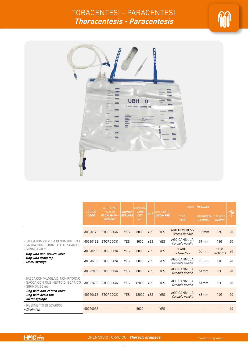



|                                                                                           | CODICE      | <b>GESTIONE</b><br><b>FLUSSO</b>   |                                  | CAPACITÀ<br>CAPA- |            | <b>RUBINETTO</b> | AGHI - NEEDLES                        |                                    |                 |            |
|-------------------------------------------------------------------------------------------|-------------|------------------------------------|----------------------------------|-------------------|------------|------------------|---------------------------------------|------------------------------------|-----------------|------------|
|                                                                                           | <b>CODE</b> | <b>FLOW MANA-</b><br><b>GEMENT</b> | <b>SIRINGA</b><br><b>SYRINGE</b> | <b>CITY</b><br>ml | <b>VNR</b> | <b>DISCHARGE</b> | <b>TIPO</b><br><b>TYPE</b>            | LUNGHEZZA CALIBRO<br><b>LENGTH</b> | <b>GAUGE</b>    | $\bigodot$ |
|                                                                                           | M032017S    | <b>STOPCOCK</b>                    | <b>YES</b>                       | 8000              | <b>YES</b> | <b>YES</b>       | <b>AGO DI VERESS</b><br>Veress needle | 100mm                              | 15G             | 20         |
| - SACCA CON VALVOLA DI NON RITORNO<br>- SACCA CON RUBINETTO DI SCARICO                    | M032019S    | <b>STOPCOCK</b>                    | <b>YES</b>                       | 8000              | <b>YES</b> | <b>YES</b>       | AGO CANNULA<br>Cannula needle         | 51mm                               | <b>18G</b>      | 20         |
| - SIRINGA 60 ml<br>- Bag with non-return valve                                            | M032028S    | <b>STOPCOCK</b>                    | <b>YES</b>                       | 8000              | <b>YES</b> | <b>YES</b>       | 3 AGHI<br>3 Needles                   | 55mm                               | 14G/<br>16G/19G | 20         |
| - Bag with drain tap<br>- 60 ml syringe                                                   | M032048S    | <b>STOPCOCK</b>                    | <b>YES</b>                       | 8000              | <b>YES</b> | <b>YES</b>       | <b>AGO CANNULA</b><br>Cannula needle  | 48mm                               | 14G             | 20         |
|                                                                                           | M032200S    | <b>STOPCOCK</b>                    | <b>YES</b>                       | 8000              | <b>YES</b> | <b>YES</b>       | <b>AGO CANNULA</b><br>Cannula needle  | 51mm                               | 16G             | 20         |
| - SACCA CON VALVOLA DI NON RITORNO<br>- SACCA CON RUBINETTO DI SCARICO<br>- SIRINGA 60 ml | M032240S    | <b>STOPCOCK</b>                    | <b>YES</b>                       | 12000             | <b>YES</b> | <b>YES</b>       | AGO CANNULA<br>Cannula needle         | 51mm                               | 16G             | 20         |
| - Bag with non-return valve<br>- Bag with drain tap<br>- 60 ml syringe                    | M032049S    | <b>STOPCOCK</b>                    | <b>YES</b>                       | 12000             | <b>YES</b> | <b>YES</b>       | <b>AGO CANNULA</b><br>Cannula needle  | 48mm                               | 14G             | 20         |
| - RUBINETTO DI SCARICO<br>- Drain tap                                                     | M022005S    |                                    |                                  | 5000              |            | <b>YES</b>       |                                       |                                    |                 | 40         |